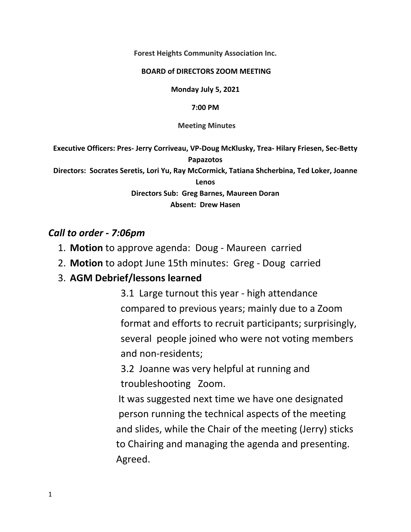**Forest Heights Community Association Inc.** 

#### **BOARD of DIRECTORS ZOOM MEETING**

**Monday July 5, 2021** 

**7:00 PM**

 **Meeting Minutes** 

**Executive Officers: Pres‐ Jerry Corriveau, VP‐Doug McKlusky, Trea‐ Hilary Friesen, Sec‐Betty Papazotos** 

**Directors: Socrates Seretis, Lori Yu, Ray McCormick, Tatiana Shcherbina, Ted Loker, Joanne** 

**Lenos** 

**Directors Sub: Greg Barnes, Maureen Doran** 

**Absent: Drew Hasen** 

### *Call to order ‐ 7:06pm*

- 1. **Motion** to approve agenda: Doug ‐ Maureen carried
- 2. **Motion** to adopt June 15th minutes: Greg ‐ Doug carried

# 3. **AGM Debrief/lessons learned**

3.1 Large turnout this year ‐ high attendance compared to previous years; mainly due to a Zoom format and efforts to recruit participants; surprisingly, several people joined who were not voting members and non‐residents;

3.2 Joanne was very helpful at running and troubleshooting Zoom.

 It was suggested next time we have one designated person running the technical aspects of the meeting and slides, while the Chair of the meeting (Jerry) sticks to Chairing and managing the agenda and presenting. Agreed.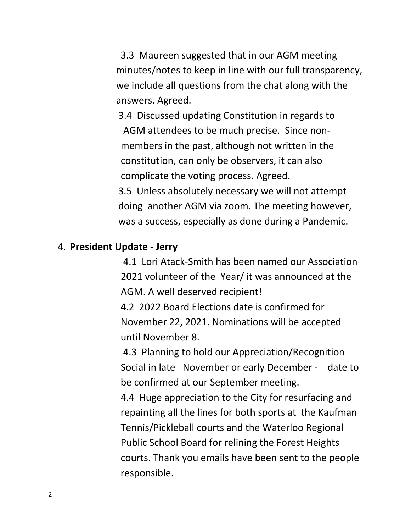3.3 Maureen suggested that in our AGM meeting minutes/notes to keep in line with our full transparency, we include all questions from the chat along with the answers. Agreed.

 3.4 Discussed updating Constitution in regards to AGM attendees to be much precise. Since non‐ members in the past, although not written in the constitution, can only be observers, it can also complicate the voting process. Agreed. 3.5 Unless absolutely necessary we will not attempt doing another AGM via zoom. The meeting however, was a success, especially as done during a Pandemic.

### 4. **President Update ‐ Jerry**

4.1 Lori Atack‐Smith has been named our Association 2021 volunteer of the Year/ it was announced at the AGM. A well deserved recipient!

4.2 2022 Board Elections date is confirmed for November 22, 2021. Nominations will be accepted until November 8.

 4.3 Planning to hold our Appreciation/Recognition Social in late November or early December - date to be confirmed at our September meeting.

4.4 Huge appreciation to the City for resurfacing and repainting all the lines for both sports at the Kaufman Tennis/Pickleball courts and the Waterloo Regional Public School Board for relining the Forest Heights courts. Thank you emails have been sent to the people responsible.